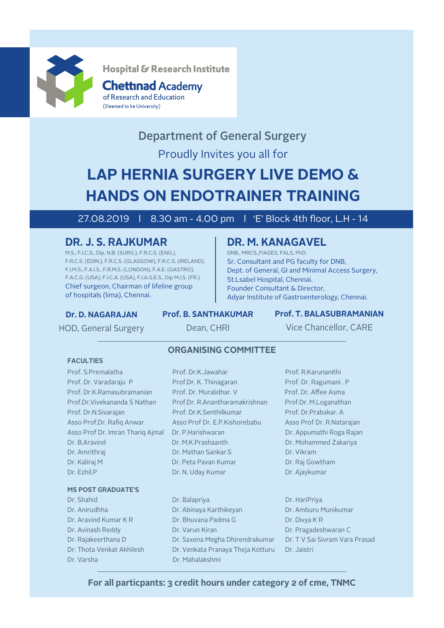

Hospital & Research Institute

### **Chettinad Academy** of Research and Education (Deemed to be University)

## Proudly Invites you all for Department of General Surgery

# **LAP HERNIA SURGERY LIVE DEMO & HANDS ON ENDOTRAINER TRAINING**

## 27.08.2019 l 8.30 am - 4.00 pm l 'E' Block 4th floor, L.H - 14

## **DR. J. S. RAJKUMAR**

M.S., F.I.C.S., Dip. N.B. (SURG.), F.R.C.S. (ENG.), F.R.C.S. (EDIN.), F.R.C.S. (GLASGOW), F.R.C.S. (IRELAND), F.I.M.S., F.A.I.S., F.R.M.S. (LONDON), F.A.E. (GASTRO), F.A.C.G. (USA), F.I.C.A. (USA), F.I.A.G.E.S., Dip M.I.S. (FR.) Chief surgeon, Chairman of lifeline group of hospitals (lima), Chennai.

## **DR. M. KANAGAVEL**

DNB., MRCS.,FIAGES, FALS, PhD. Sr. Consultant and PG faculty for DNB, Dept. of General, GI and Minimal Access Surgery, St.Lsabel Hospital, Chennai. Founder Consultant & Director, Adyar Institute of Gastroenterology, Chennai.

### **Dr. D. NAGARAJAN**

## **Prof. B. SANTHAKUMAR**

**Prof. T. BALASUBRAMANIAN**

HOD, General Surgery

**FACULTIES**

Dean, CHRI

Vice Chancellor, CARE

## **ORGANISING COMMITTEE**

Prof. S.Premalatha Prof. Dr.K.Jawahar Prof. R.Karunanithi Prof. Dr. Varadaraju P Prof. Prof. Dr. K. Thinagaran Prof. Dr. Ragumani . P Prof. Dr.K.Ramasubramanian Prof. Dr. Muralidhar. V Prof. Dr. Affee Asma Prof.Dr.Vivekananda S Nathan Prof.Dr. R.Anantharamakrishnan Prof.Dr. M.Loganathan Prof. Dr.N.Sivarajan Prof. Dr.K.Senthilkumar Prof. Dr.Prabakar. A Asso Prof.Dr. Rafig Anwar Asso Prof Dr. E.P. Kishorebabu Asso Prof Dr. R. Natarajan Asso Prof Dr. Imran Thariq Ajmal Dr. P.Harishwaran Dr. Dr. Appumathi Roga Rajan Dr. B.Aravind Dr. M.K.Prashaanth Dr. Mohammed Zakariya Dr. Amrithraj Dr. Mathan Sankar.S Dr. Vikram Dr. Kaliraj M Dr. Peta Pavan Kumar Dr. Raj Gowtham

### **MS POST GRADUATE'S**

- Dr. Varsha Dr. Mahalakshmi
- Dr. Ezhil.P Dr. N. Uday Kumar Dr. N. Uday Kumar Dr. Ajaykumar
- Dr. Shahid Dr. Balapriya Dr. HariPriya Dr. Anirudhha Dr. Abinaya Karthikeyan Dr. Amburu Munikumar Dr. Aravind Kumar K R Dr. Bhuvana Padma G Dr. Divya K R Dr. Avinash Reddy Dr. Varun Kiran Dr. Dr. Pragadeshwaran C Dr. Rajakeerthana D Dr. Saxena Megha Dhirendrakumar Dr. T V Sai Sivram Vara Prasad Dr. Thota Venkat Akhilesh Dr. Venkata Pranaya Theja Kotturu Dr. Jaistri
- -

### **For all particpants: 3 credit hours under category 2 of cme, TNMC**